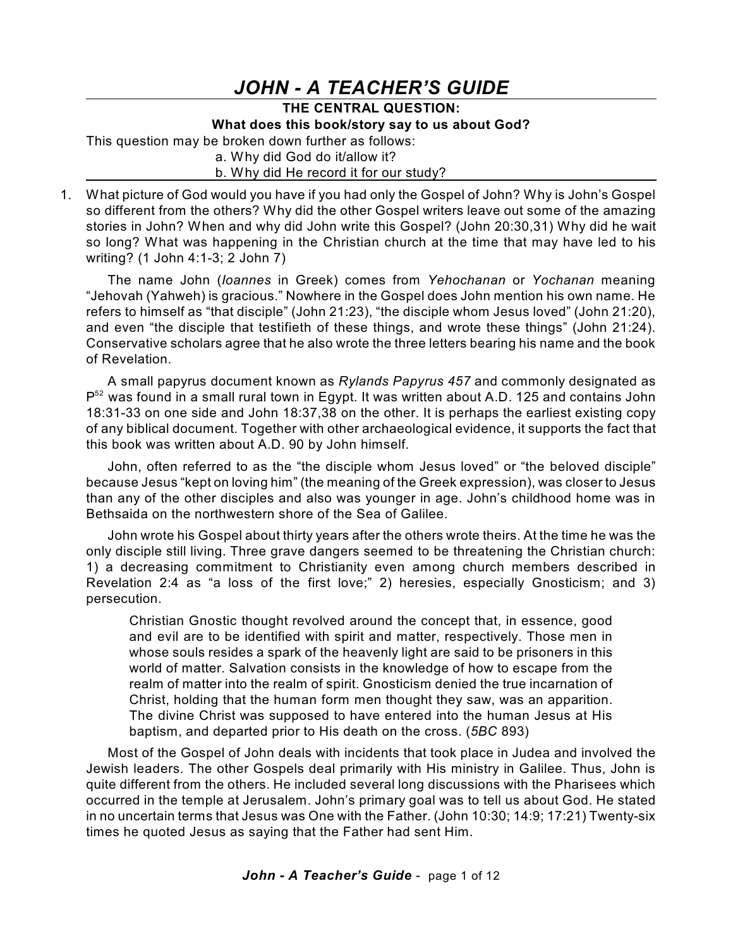# *JOHN - A TEACHER'S GUIDE*

# **THE CENTRAL QUESTION:**

### **What does this book/story say to us about God?**

This question may be broken down further as follows:

a. Why did God do it/allow it?

### b. Why did He record it for our study?

1. What picture of God would you have if you had only the Gospel of John? Why is John's Gospel so different from the others? Why did the other Gospel writers leave out some of the amazing stories in John? When and why did John write this Gospel? (John 20:30,31) Why did he wait so long? What was happening in the Christian church at the time that may have led to his writing? (1 John 4:1-3; 2 John 7)

The name John (*Ioannes* in Greek) comes from *Yehochanan* or *Yochanan* meaning "Jehovah (Yahweh) is gracious." Nowhere in the Gospel does John mention his own name. He refers to himself as "that disciple" (John 21:23), "the disciple whom Jesus loved" (John 21:20), and even "the disciple that testifieth of these things, and wrote these things" (John 21:24). Conservative scholars agree that he also wrote the three letters bearing his name and the book of Revelation.

A small papyrus document known as *Rylands Papyrus 457* and commonly designated as  $P^{52}$  was found in a small rural town in Egypt. It was written about A.D. 125 and contains John 18:31-33 on one side and John 18:37,38 on the other. It is perhaps the earliest existing copy of any biblical document. Together with other archaeological evidence, it supports the fact that this book was written about A.D. 90 by John himself.

John, often referred to as the "the disciple whom Jesus loved" or "the beloved disciple" because Jesus "kept on loving him" (the meaning of the Greek expression), was closer to Jesus than any of the other disciples and also was younger in age. John's childhood home was in Bethsaida on the northwestern shore of the Sea of Galilee.

John wrote his Gospel about thirty years after the others wrote theirs. At the time he was the only disciple still living. Three grave dangers seemed to be threatening the Christian church: 1) a decreasing commitment to Christianity even among church members described in Revelation 2:4 as "a loss of the first love;" 2) heresies, especially Gnosticism; and 3) persecution.

Christian Gnostic thought revolved around the concept that, in essence, good and evil are to be identified with spirit and matter, respectively. Those men in whose souls resides a spark of the heavenly light are said to be prisoners in this world of matter. Salvation consists in the knowledge of how to escape from the realm of matter into the realm of spirit. Gnosticism denied the true incarnation of Christ, holding that the human form men thought they saw, was an apparition. The divine Christ was supposed to have entered into the human Jesus at His baptism, and departed prior to His death on the cross. (*5BC* 893)

Most of the Gospel of John deals with incidents that took place in Judea and involved the Jewish leaders. The other Gospels deal primarily with His ministry in Galilee. Thus, John is quite different from the others. He included several long discussions with the Pharisees which occurred in the temple at Jerusalem. John's primary goal was to tell us about God. He stated in no uncertain terms that Jesus was One with the Father. (John 10:30; 14:9; 17:21) Twenty-six times he quoted Jesus as saying that the Father had sent Him.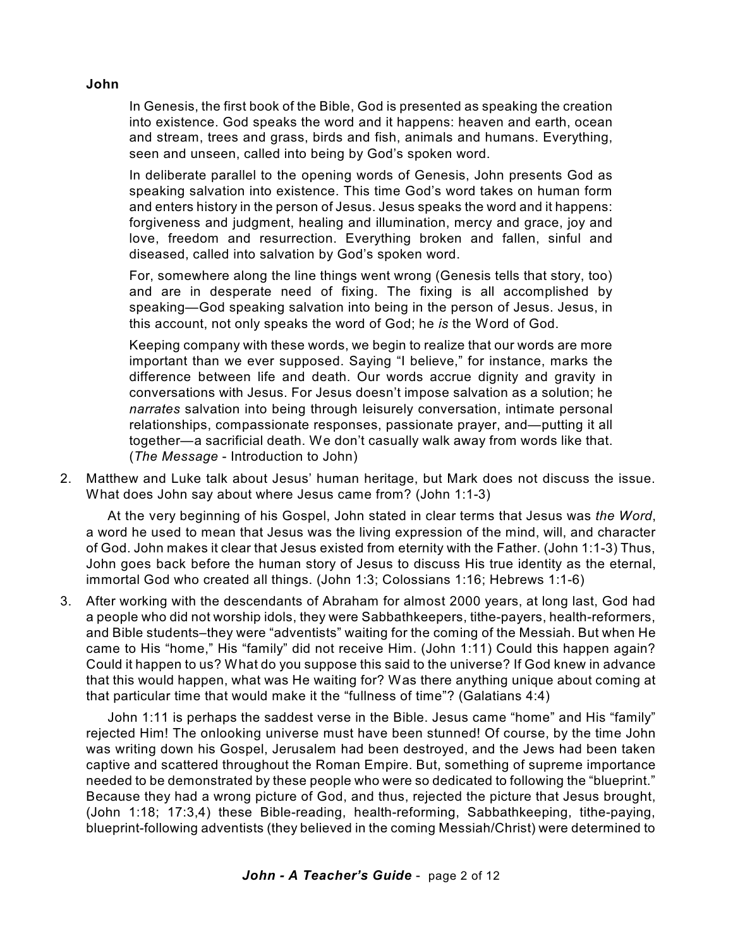**John**

In Genesis, the first book of the Bible, God is presented as speaking the creation into existence. God speaks the word and it happens: heaven and earth, ocean and stream, trees and grass, birds and fish, animals and humans. Everything, seen and unseen, called into being by God's spoken word.

In deliberate parallel to the opening words of Genesis, John presents God as speaking salvation into existence. This time God's word takes on human form and enters history in the person of Jesus. Jesus speaks the word and it happens: forgiveness and judgment, healing and illumination, mercy and grace, joy and love, freedom and resurrection. Everything broken and fallen, sinful and diseased, called into salvation by God's spoken word.

For, somewhere along the line things went wrong (Genesis tells that story, too) and are in desperate need of fixing. The fixing is all accomplished by speaking—God speaking salvation into being in the person of Jesus. Jesus, in this account, not only speaks the word of God; he *is* the Word of God.

Keeping company with these words, we begin to realize that our words are more important than we ever supposed. Saying "I believe," for instance, marks the difference between life and death. Our words accrue dignity and gravity in conversations with Jesus. For Jesus doesn't impose salvation as a solution; he *narrates* salvation into being through leisurely conversation, intimate personal relationships, compassionate responses, passionate prayer, and—putting it all together—a sacrificial death. We don't casually walk away from words like that. (*The Message* - Introduction to John)

2. Matthew and Luke talk about Jesus' human heritage, but Mark does not discuss the issue. What does John say about where Jesus came from? (John 1:1-3)

At the very beginning of his Gospel, John stated in clear terms that Jesus was *the Word*, a word he used to mean that Jesus was the living expression of the mind, will, and character of God. John makes it clear that Jesus existed from eternity with the Father. (John 1:1-3) Thus, John goes back before the human story of Jesus to discuss His true identity as the eternal, immortal God who created all things. (John 1:3; Colossians 1:16; Hebrews 1:1-6)

3. After working with the descendants of Abraham for almost 2000 years, at long last, God had a people who did not worship idols, they were Sabbathkeepers, tithe-payers, health-reformers, and Bible students–they were "adventists" waiting for the coming of the Messiah. But when He came to His "home," His "family" did not receive Him. (John 1:11) Could this happen again? Could it happen to us? What do you suppose this said to the universe? If God knew in advance that this would happen, what was He waiting for? Was there anything unique about coming at that particular time that would make it the "fullness of time"? (Galatians 4:4)

John 1:11 is perhaps the saddest verse in the Bible. Jesus came "home" and His "family" rejected Him! The onlooking universe must have been stunned! Of course, by the time John was writing down his Gospel, Jerusalem had been destroyed, and the Jews had been taken captive and scattered throughout the Roman Empire. But, something of supreme importance needed to be demonstrated by these people who were so dedicated to following the "blueprint." Because they had a wrong picture of God, and thus, rejected the picture that Jesus brought, (John 1:18; 17:3,4) these Bible-reading, health-reforming, Sabbathkeeping, tithe-paying, blueprint-following adventists (they believed in the coming Messiah/Christ) were determined to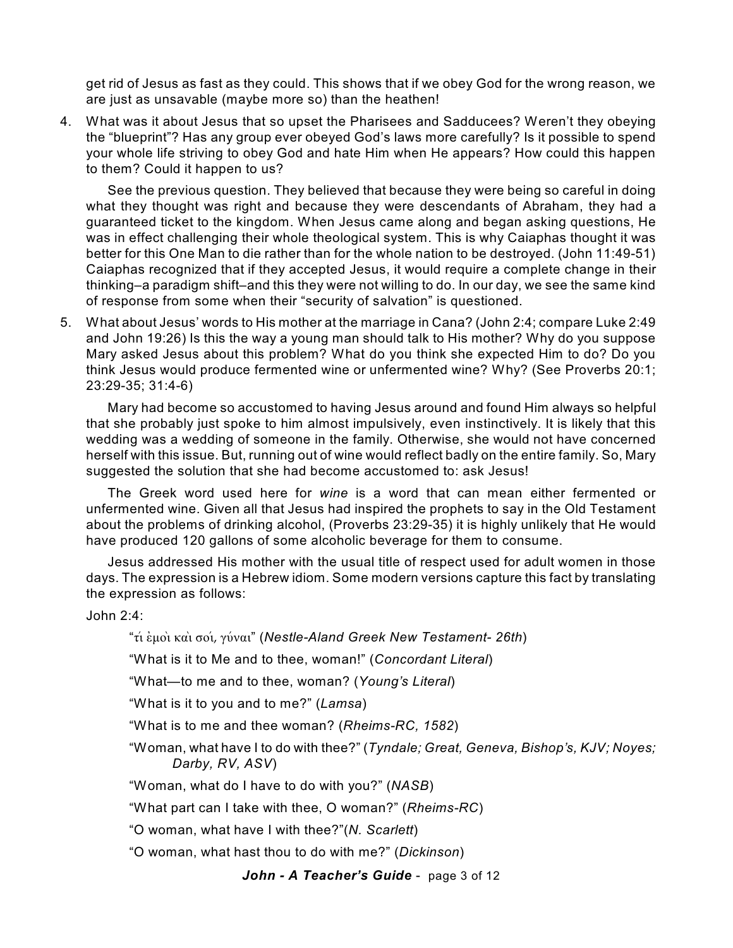get rid of Jesus as fast as they could. This shows that if we obey God for the wrong reason, we are just as unsavable (maybe more so) than the heathen!

4. What was it about Jesus that so upset the Pharisees and Sadducees? Weren't they obeying the "blueprint"? Has any group ever obeyed God's laws more carefully? Is it possible to spend your whole life striving to obey God and hate Him when He appears? How could this happen to them? Could it happen to us?

See the previous question. They believed that because they were being so careful in doing what they thought was right and because they were descendants of Abraham, they had a guaranteed ticket to the kingdom. When Jesus came along and began asking questions, He was in effect challenging their whole theological system. This is why Caiaphas thought it was better for this One Man to die rather than for the whole nation to be destroyed. (John 11:49-51) Caiaphas recognized that if they accepted Jesus, it would require a complete change in their thinking–a paradigm shift–and this they were not willing to do. In our day, we see the same kind of response from some when their "security of salvation" is questioned.

5. What about Jesus' words to His mother at the marriage in Cana? (John 2:4; compare Luke 2:49 and John 19:26) Is this the way a young man should talk to His mother? Why do you suppose Mary asked Jesus about this problem? What do you think she expected Him to do? Do you think Jesus would produce fermented wine or unfermented wine? Why? (See Proverbs 20:1; 23:29-35; 31:4-6)

Mary had become so accustomed to having Jesus around and found Him always so helpful that she probably just spoke to him almost impulsively, even instinctively. It is likely that this wedding was a wedding of someone in the family. Otherwise, she would not have concerned herself with this issue. But, running out of wine would reflect badly on the entire family. So, Mary suggested the solution that she had become accustomed to: ask Jesus!

The Greek word used here for *wine* is a word that can mean either fermented or unfermented wine. Given all that Jesus had inspired the prophets to say in the Old Testament about the problems of drinking alcohol, (Proverbs 23:29-35) it is highly unlikely that He would have produced 120 gallons of some alcoholic beverage for them to consume.

Jesus addressed His mother with the usual title of respect used for adult women in those days. The expression is a Hebrew idiom. Some modern versions capture this fact by translating the expression as follows:

John 2:4:

"tiv ejmoi; kai; soiv, guvnai" (*Nestle-Aland Greek New Testament- 26th*)

"What is it to Me and to thee, woman!" (*Concordant Literal*)

"What—to me and to thee, woman? (*Young's Literal*)

"What is it to you and to me?" (*Lamsa*)

"What is to me and thee woman? (*Rheims-RC, 1582*)

"Woman, what have I to do with thee?" (*Tyndale; Great, Geneva, Bishop's, KJV; Noyes; Darby, RV, ASV*)

"Woman, what do I have to do with you?" (*NASB*)

"What part can I take with thee, O woman?" (*Rheims-RC*)

"O woman, what have I with thee?"(*N. Scarlett*)

"O woman, what hast thou to do with me?" (*Dickinson*)

*John - A Teacher's Guide* - page 3 of 12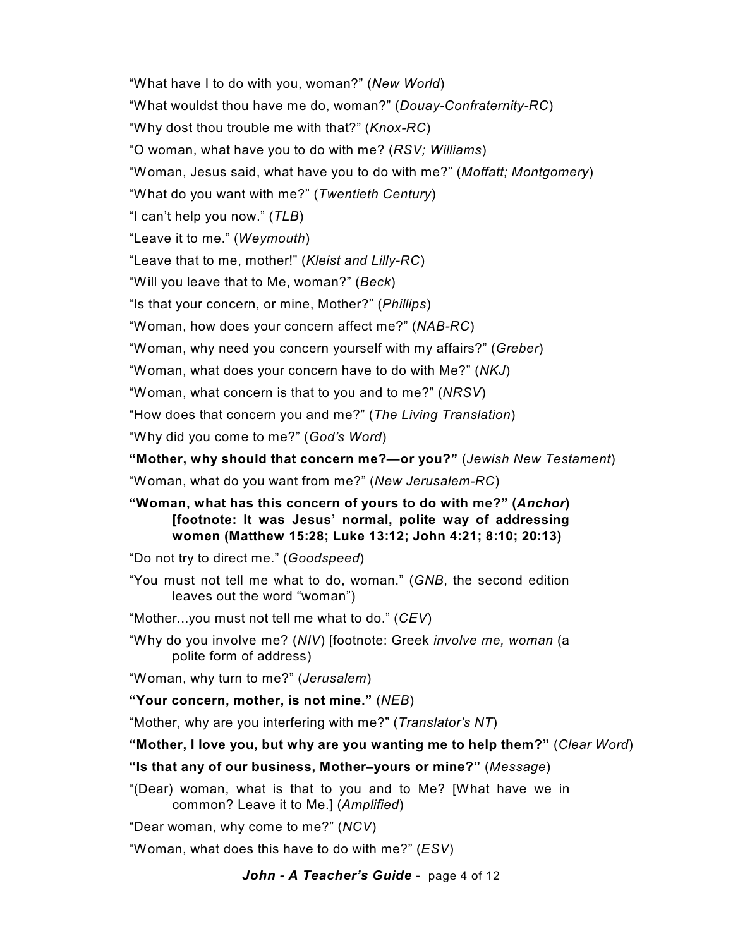"What have I to do with you, woman?" (*New World*) "What wouldst thou have me do, woman?" (*Douay-Confraternity-RC*) "Why dost thou trouble me with that?" (*Knox-RC*) "O woman, what have you to do with me? (*RSV; Williams*) "Woman, Jesus said, what have you to do with me?" (*Moffatt; Montgomery*) "What do you want with me?" (*Twentieth Century*) "I can't help you now." (*TLB*) "Leave it to me." (*Weymouth*) "Leave that to me, mother!" (*Kleist and Lilly-RC*) "Will you leave that to Me, woman?" (*Beck*) "Is that your concern, or mine, Mother?" (*Phillips*) "Woman, how does your concern affect me?" (*NAB-RC*) "Woman, why need you concern yourself with my affairs?" (*Greber*) "Woman, what does your concern have to do with Me?" (*NKJ*) "Woman, what concern is that to you and to me?" (*NRSV*) "How does that concern you and me?" (*The Living Translation*) "Why did you come to me?" (*God's Word*) **"Mother, why should that concern me?—or you?"** (*Jewish New Testament*) "Woman, what do you want from me?" (*New Jerusalem-RC*) **"Woman, what has this concern of yours to do with me?" (***Anchor***)**

# **[footnote: It was Jesus' normal, polite way of addressing women (Matthew 15:28; Luke 13:12; John 4:21; 8:10; 20:13)**

"Do not try to direct me." (*Goodspeed*)

"You must not tell me what to do, woman." (*GNB*, the second edition leaves out the word "woman")

"Mother...you must not tell me what to do." (*CEV*)

"Why do you involve me? (*NIV*) [footnote: Greek *involve me, woman* (a polite form of address)

"Woman, why turn to me?" (*Jerusalem*)

**"Your concern, mother, is not mine."** (*NEB*)

"Mother, why are you interfering with me?" (*Translator's NT*)

**"Mother, I love you, but why are you wanting me to help them?"** (*Clear Word*)

**"Is that any of our business, Mother–yours or mine?"** (*Message*)

"(Dear) woman, what is that to you and to Me? [What have we in common? Leave it to Me.] (*Amplified*)

"Dear woman, why come to me?" (*NCV*)

"Woman, what does this have to do with me?" (*ESV*)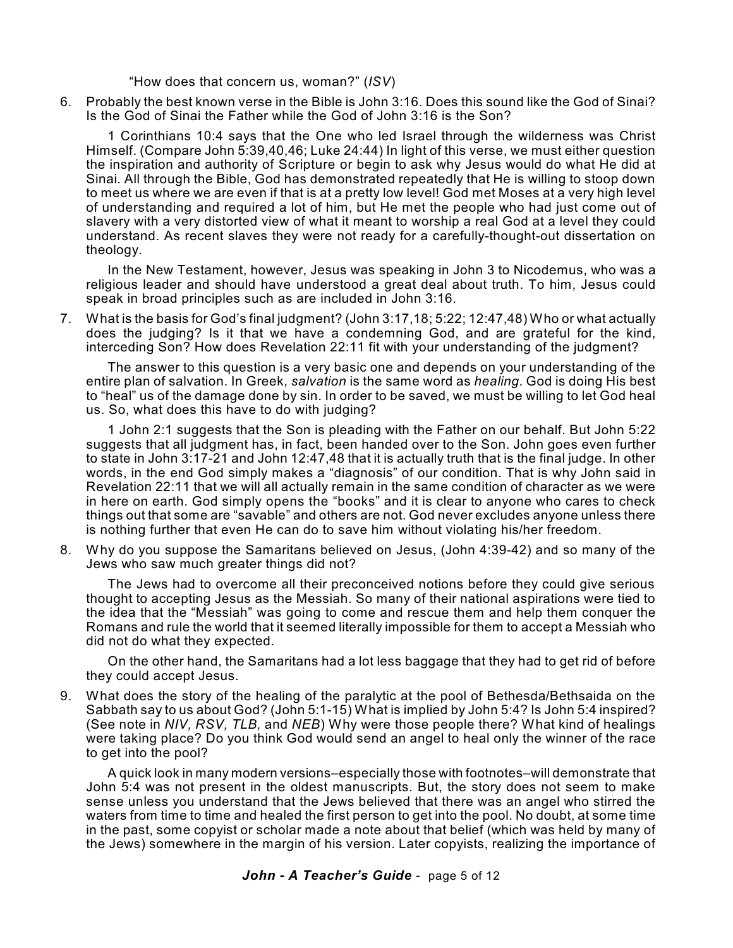"How does that concern us, woman?" (*ISV*)

6. Probably the best known verse in the Bible is John 3:16. Does this sound like the God of Sinai? Is the God of Sinai the Father while the God of John 3:16 is the Son?

1 Corinthians 10:4 says that the One who led Israel through the wilderness was Christ Himself. (Compare John 5:39,40,46; Luke 24:44) In light of this verse, we must either question the inspiration and authority of Scripture or begin to ask why Jesus would do what He did at Sinai. All through the Bible, God has demonstrated repeatedly that He is willing to stoop down to meet us where we are even if that is at a pretty low level! God met Moses at a very high level of understanding and required a lot of him, but He met the people who had just come out of slavery with a very distorted view of what it meant to worship a real God at a level they could understand. As recent slaves they were not ready for a carefully-thought-out dissertation on theology.

In the New Testament, however, Jesus was speaking in John 3 to Nicodemus, who was a religious leader and should have understood a great deal about truth. To him, Jesus could speak in broad principles such as are included in John 3:16.

7. What is the basis for God's final judgment? (John 3:17,18; 5:22; 12:47,48) Who or what actually does the judging? Is it that we have a condemning God, and are grateful for the kind, interceding Son? How does Revelation 22:11 fit with your understanding of the judgment?

The answer to this question is a very basic one and depends on your understanding of the entire plan of salvation. In Greek, *salvation* is the same word as *healing*. God is doing His best to "heal" us of the damage done by sin. In order to be saved, we must be willing to let God heal us. So, what does this have to do with judging?

1 John 2:1 suggests that the Son is pleading with the Father on our behalf. But John 5:22 suggests that all judgment has, in fact, been handed over to the Son. John goes even further to state in John 3:17-21 and John 12:47,48 that it is actually truth that is the final judge. In other words, in the end God simply makes a "diagnosis" of our condition. That is why John said in Revelation 22:11 that we will all actually remain in the same condition of character as we were in here on earth. God simply opens the "books" and it is clear to anyone who cares to check things out that some are "savable" and others are not. God never excludes anyone unless there is nothing further that even He can do to save him without violating his/her freedom.

8. Why do you suppose the Samaritans believed on Jesus, (John 4:39-42) and so many of the Jews who saw much greater things did not?

The Jews had to overcome all their preconceived notions before they could give serious thought to accepting Jesus as the Messiah. So many of their national aspirations were tied to the idea that the "Messiah" was going to come and rescue them and help them conquer the Romans and rule the world that it seemed literally impossible for them to accept a Messiah who did not do what they expected.

On the other hand, the Samaritans had a lot less baggage that they had to get rid of before they could accept Jesus.

9. What does the story of the healing of the paralytic at the pool of Bethesda/Bethsaida on the Sabbath say to us about God? (John 5:1-15) What is implied by John 5:4? Is John 5:4 inspired? (See note in *NIV, RSV, TLB,* and *NEB*) Why were those people there? What kind of healings were taking place? Do you think God would send an angel to heal only the winner of the race to get into the pool?

A quick look in many modern versions–especially those with footnotes–will demonstrate that John 5:4 was not present in the oldest manuscripts. But, the story does not seem to make sense unless you understand that the Jews believed that there was an angel who stirred the waters from time to time and healed the first person to get into the pool. No doubt, at some time in the past, some copyist or scholar made a note about that belief (which was held by many of the Jews) somewhere in the margin of his version. Later copyists, realizing the importance of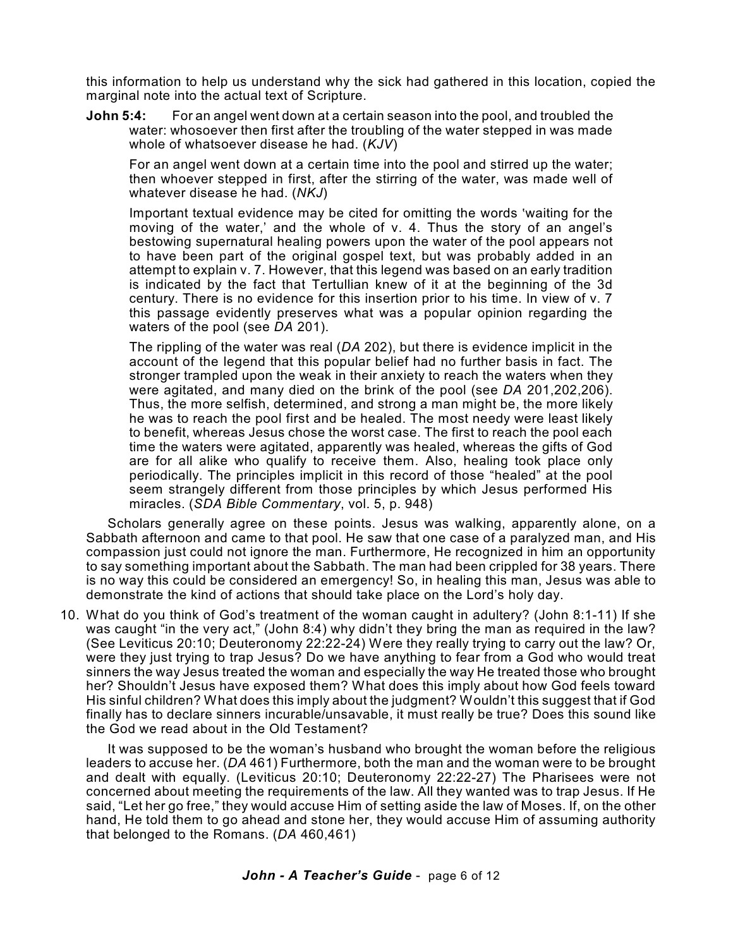this information to help us understand why the sick had gathered in this location, copied the marginal note into the actual text of Scripture.

**John 5:4:** For an angel went down at a certain season into the pool, and troubled the water: whosoever then first after the troubling of the water stepped in was made whole of whatsoever disease he had. (*KJV*)

For an angel went down at a certain time into the pool and stirred up the water; then whoever stepped in first, after the stirring of the water, was made well of whatever disease he had. (*NKJ*)

Important textual evidence may be cited for omitting the words 'waiting for the moving of the water,' and the whole of v. 4. Thus the story of an angel's bestowing supernatural healing powers upon the water of the pool appears not to have been part of the original gospel text, but was probably added in an attempt to explain v. 7. However, that this legend was based on an early tradition is indicated by the fact that Tertullian knew of it at the beginning of the 3d century. There is no evidence for this insertion prior to his time. In view of v. 7 this passage evidently preserves what was a popular opinion regarding the waters of the pool (see *DA* 201).

The rippling of the water was real (*DA* 202), but there is evidence implicit in the account of the legend that this popular belief had no further basis in fact. The stronger trampled upon the weak in their anxiety to reach the waters when they were agitated, and many died on the brink of the pool (see *DA* 201,202,206). Thus, the more selfish, determined, and strong a man might be, the more likely he was to reach the pool first and be healed. The most needy were least likely to benefit, whereas Jesus chose the worst case. The first to reach the pool each time the waters were agitated, apparently was healed, whereas the gifts of God are for all alike who qualify to receive them. Also, healing took place only periodically. The principles implicit in this record of those "healed" at the pool seem strangely different from those principles by which Jesus performed His miracles. (*SDA Bible Commentary*, vol. 5, p. 948)

Scholars generally agree on these points. Jesus was walking, apparently alone, on a Sabbath afternoon and came to that pool. He saw that one case of a paralyzed man, and His compassion just could not ignore the man. Furthermore, He recognized in him an opportunity to say something important about the Sabbath. The man had been crippled for 38 years. There is no way this could be considered an emergency! So, in healing this man, Jesus was able to demonstrate the kind of actions that should take place on the Lord's holy day.

10. What do you think of God's treatment of the woman caught in adultery? (John 8:1-11) If she was caught "in the very act," (John 8:4) why didn't they bring the man as required in the law? (See Leviticus 20:10; Deuteronomy 22:22-24) Were they really trying to carry out the law? Or, were they just trying to trap Jesus? Do we have anything to fear from a God who would treat sinners the way Jesus treated the woman and especially the way He treated those who brought her? Shouldn't Jesus have exposed them? What does this imply about how God feels toward His sinful children? What does this imply about the judgment? Wouldn't this suggest that if God finally has to declare sinners incurable/unsavable, it must really be true? Does this sound like the God we read about in the Old Testament?

It was supposed to be the woman's husband who brought the woman before the religious leaders to accuse her. (*DA* 461) Furthermore, both the man and the woman were to be brought and dealt with equally. (Leviticus 20:10; Deuteronomy 22:22-27) The Pharisees were not concerned about meeting the requirements of the law. All they wanted was to trap Jesus. If He said, "Let her go free," they would accuse Him of setting aside the law of Moses. If, on the other hand, He told them to go ahead and stone her, they would accuse Him of assuming authority that belonged to the Romans. (*DA* 460,461)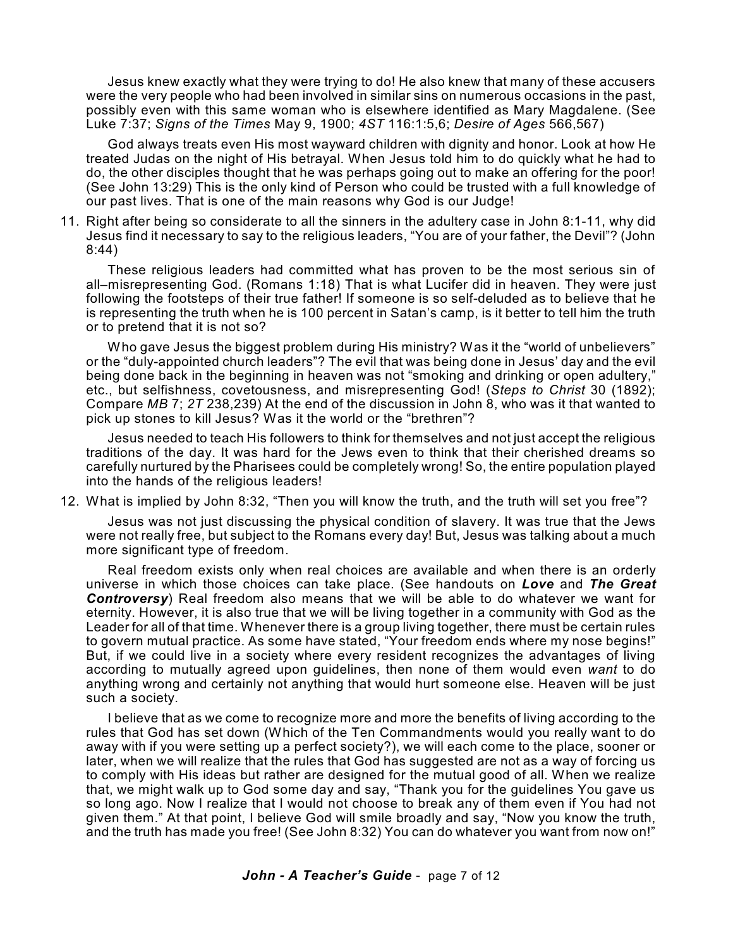Jesus knew exactly what they were trying to do! He also knew that many of these accusers were the very people who had been involved in similar sins on numerous occasions in the past, possibly even with this same woman who is elsewhere identified as Mary Magdalene. (See Luke 7:37; *Signs of the Times* May 9, 1900; *4ST* 116:1:5,6; *Desire of Ages* 566,567)

God always treats even His most wayward children with dignity and honor. Look at how He treated Judas on the night of His betrayal. When Jesus told him to do quickly what he had to do, the other disciples thought that he was perhaps going out to make an offering for the poor! (See John 13:29) This is the only kind of Person who could be trusted with a full knowledge of our past lives. That is one of the main reasons why God is our Judge!

11. Right after being so considerate to all the sinners in the adultery case in John 8:1-11, why did Jesus find it necessary to say to the religious leaders, "You are of your father, the Devil"? (John 8:44)

These religious leaders had committed what has proven to be the most serious sin of all–misrepresenting God. (Romans 1:18) That is what Lucifer did in heaven. They were just following the footsteps of their true father! If someone is so self-deluded as to believe that he is representing the truth when he is 100 percent in Satan's camp, is it better to tell him the truth or to pretend that it is not so?

Who gave Jesus the biggest problem during His ministry? Was it the "world of unbelievers" or the "duly-appointed church leaders"? The evil that was being done in Jesus' day and the evil being done back in the beginning in heaven was not "smoking and drinking or open adultery," etc., but selfishness, covetousness, and misrepresenting God! (*Steps to Christ* 30 (1892); Compare *MB* 7; *2T* 238,239) At the end of the discussion in John 8, who was it that wanted to pick up stones to kill Jesus? Was it the world or the "brethren"?

Jesus needed to teach His followers to think for themselves and not just accept the religious traditions of the day. It was hard for the Jews even to think that their cherished dreams so carefully nurtured by the Pharisees could be completely wrong! So, the entire population played into the hands of the religious leaders!

12. What is implied by John 8:32, "Then you will know the truth, and the truth will set you free"?

Jesus was not just discussing the physical condition of slavery. It was true that the Jews were not really free, but subject to the Romans every day! But, Jesus was talking about a much more significant type of freedom.

Real freedom exists only when real choices are available and when there is an orderly universe in which those choices can take place. (See handouts on *Love* and *The Great Controversy*) Real freedom also means that we will be able to do whatever we want for eternity. However, it is also true that we will be living together in a community with God as the Leader for all of that time. Whenever there is a group living together, there must be certain rules to govern mutual practice. As some have stated, "Your freedom ends where my nose begins!" But, if we could live in a society where every resident recognizes the advantages of living according to mutually agreed upon guidelines, then none of them would even *want* to do anything wrong and certainly not anything that would hurt someone else. Heaven will be just such a society.

I believe that as we come to recognize more and more the benefits of living according to the rules that God has set down (Which of the Ten Commandments would you really want to do away with if you were setting up a perfect society?), we will each come to the place, sooner or later, when we will realize that the rules that God has suggested are not as a way of forcing us to comply with His ideas but rather are designed for the mutual good of all. When we realize that, we might walk up to God some day and say, "Thank you for the guidelines You gave us so long ago. Now I realize that I would not choose to break any of them even if You had not given them." At that point, I believe God will smile broadly and say, "Now you know the truth, and the truth has made you free! (See John 8:32) You can do whatever you want from now on!"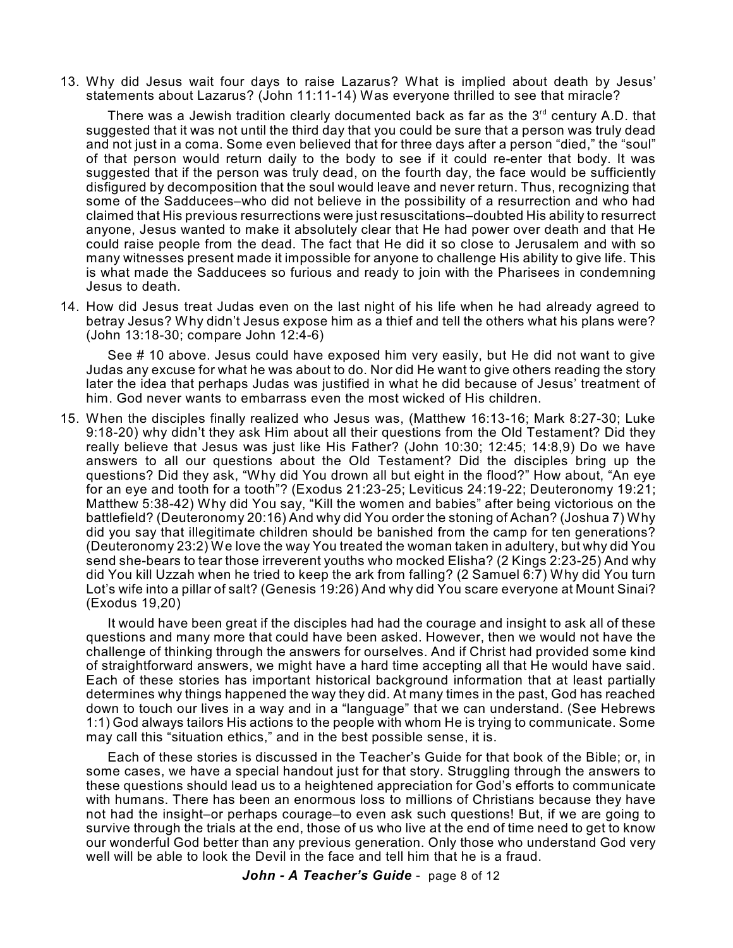13. Why did Jesus wait four days to raise Lazarus? What is implied about death by Jesus' statements about Lazarus? (John 11:11-14) Was everyone thrilled to see that miracle?

There was a Jewish tradition clearly documented back as far as the  $3<sup>rd</sup>$  century A.D. that suggested that it was not until the third day that you could be sure that a person was truly dead and not just in a coma. Some even believed that for three days after a person "died," the "soul" of that person would return daily to the body to see if it could re-enter that body. It was suggested that if the person was truly dead, on the fourth day, the face would be sufficiently disfigured by decomposition that the soul would leave and never return. Thus, recognizing that some of the Sadducees–who did not believe in the possibility of a resurrection and who had claimed that His previous resurrections were just resuscitations–doubted His ability to resurrect anyone, Jesus wanted to make it absolutely clear that He had power over death and that He could raise people from the dead. The fact that He did it so close to Jerusalem and with so many witnesses present made it impossible for anyone to challenge His ability to give life. This is what made the Sadducees so furious and ready to join with the Pharisees in condemning Jesus to death.

14. How did Jesus treat Judas even on the last night of his life when he had already agreed to betray Jesus? Why didn't Jesus expose him as a thief and tell the others what his plans were? (John 13:18-30; compare John 12:4-6)

See # 10 above. Jesus could have exposed him very easily, but He did not want to give Judas any excuse for what he was about to do. Nor did He want to give others reading the story later the idea that perhaps Judas was justified in what he did because of Jesus' treatment of him. God never wants to embarrass even the most wicked of His children.

15. When the disciples finally realized who Jesus was, (Matthew 16:13-16; Mark 8:27-30; Luke 9:18-20) why didn't they ask Him about all their questions from the Old Testament? Did they really believe that Jesus was just like His Father? (John 10:30; 12:45; 14:8,9) Do we have answers to all our questions about the Old Testament? Did the disciples bring up the questions? Did they ask, "Why did You drown all but eight in the flood?" How about, "An eye for an eye and tooth for a tooth"? (Exodus 21:23-25; Leviticus 24:19-22; Deuteronomy 19:21; Matthew 5:38-42) Why did You say, "Kill the women and babies" after being victorious on the battlefield? (Deuteronomy 20:16) And why did You order the stoning of Achan? (Joshua 7) Why did you say that illegitimate children should be banished from the camp for ten generations? (Deuteronomy 23:2) We love the way You treated the woman taken in adultery, but why did You send she-bears to tear those irreverent youths who mocked Elisha? (2 Kings 2:23-25) And why did You kill Uzzah when he tried to keep the ark from falling? (2 Samuel 6:7) Why did You turn Lot's wife into a pillar of salt? (Genesis 19:26) And why did You scare everyone at Mount Sinai? (Exodus 19,20)

It would have been great if the disciples had had the courage and insight to ask all of these questions and many more that could have been asked. However, then we would not have the challenge of thinking through the answers for ourselves. And if Christ had provided some kind of straightforward answers, we might have a hard time accepting all that He would have said. Each of these stories has important historical background information that at least partially determines why things happened the way they did. At many times in the past, God has reached down to touch our lives in a way and in a "language" that we can understand. (See Hebrews 1:1) God always tailors His actions to the people with whom He is trying to communicate. Some may call this "situation ethics," and in the best possible sense, it is.

Each of these stories is discussed in the Teacher's Guide for that book of the Bible; or, in some cases, we have a special handout just for that story. Struggling through the answers to these questions should lead us to a heightened appreciation for God's efforts to communicate with humans. There has been an enormous loss to millions of Christians because they have not had the insight–or perhaps courage–to even ask such questions! But, if we are going to survive through the trials at the end, those of us who live at the end of time need to get to know our wonderful God better than any previous generation. Only those who understand God very well will be able to look the Devil in the face and tell him that he is a fraud.

*John - A Teacher's Guide* - page 8 of 12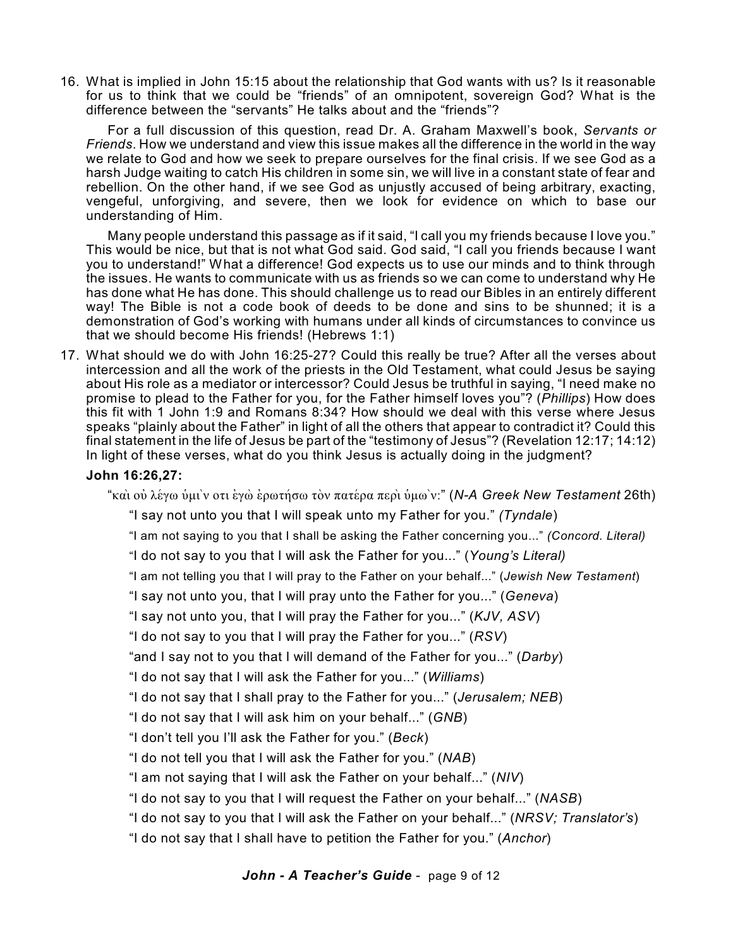16. What is implied in John 15:15 about the relationship that God wants with us? Is it reasonable for us to think that we could be "friends" of an omnipotent, sovereign God? What is the difference between the "servants" He talks about and the "friends"?

For a full discussion of this question, read Dr. A. Graham Maxwell's book, *Servants or Friends*. How we understand and view this issue makes all the difference in the world in the way we relate to God and how we seek to prepare ourselves for the final crisis. If we see God as a harsh Judge waiting to catch His children in some sin, we will live in a constant state of fear and rebellion. On the other hand, if we see God as unjustly accused of being arbitrary, exacting, vengeful, unforgiving, and severe, then we look for evidence on which to base our understanding of Him.

Many people understand this passage as if it said, "I call you my friends because I love you." This would be nice, but that is not what God said. God said, "I call you friends because I want you to understand!" What a difference! God expects us to use our minds and to think through the issues. He wants to communicate with us as friends so we can come to understand why He has done what He has done. This should challenge us to read our Bibles in an entirely different way! The Bible is not a code book of deeds to be done and sins to be shunned; it is a demonstration of God's working with humans under all kinds of circumstances to convince us that we should become His friends! (Hebrews 1:1)

17. What should we do with John 16:25-27? Could this really be true? After all the verses about intercession and all the work of the priests in the Old Testament, what could Jesus be saying about His role as a mediator or intercessor? Could Jesus be truthful in saying, "I need make no promise to plead to the Father for you, for the Father himself loves you"? (*Phillips*) How does this fit with 1 John 1:9 and Romans 8:34? How should we deal with this verse where Jesus speaks "plainly about the Father" in light of all the others that appear to contradict it? Could this final statement in the life of Jesus be part of the "testimony of Jesus"? (Revelation 12:17; 14:12) In light of these verses, what do you think Jesus is actually doing in the judgment?

### **John 16:26,27:**

"kai; ouj levgw uJmi`n oti ejgw; ejrwthvsw to;n patevra peri; uJmw`n:" (*N-A Greek New Testament* 26th)

"I say not unto you that I will speak unto my Father for you." *(Tyndale*)

"I am not saying to you that I shall be asking the Father concerning you..." *(Concord. Literal)*

"I do not say to you that I will ask the Father for you..." (*Young's Literal)*

"I am not telling you that I will pray to the Father on your behalf..." (*Jewish New Testament*)

"I say not unto you, that I will pray unto the Father for you..." (*Geneva*)

"I say not unto you, that I will pray the Father for you..." (*KJV, ASV*)

"I do not say to you that I will pray the Father for you..." (*RSV*)

"and I say not to you that I will demand of the Father for you..." (*Darby*)

"I do not say that I will ask the Father for you..." (*Williams*)

"I do not say that I shall pray to the Father for you..." (*Jerusalem; NEB*)

"I do not say that I will ask him on your behalf..." (*GNB*)

"I don't tell you I'll ask the Father for you." (*Beck*)

"I do not tell you that I will ask the Father for you." (*NAB*)

"I am not saying that I will ask the Father on your behalf..." (*NIV*)

"I do not say to you that I will request the Father on your behalf..." (*NASB*)

"I do not say to you that I will ask the Father on your behalf..." (*NRSV; Translator's*)

"I do not say that I shall have to petition the Father for you." (*Anchor*)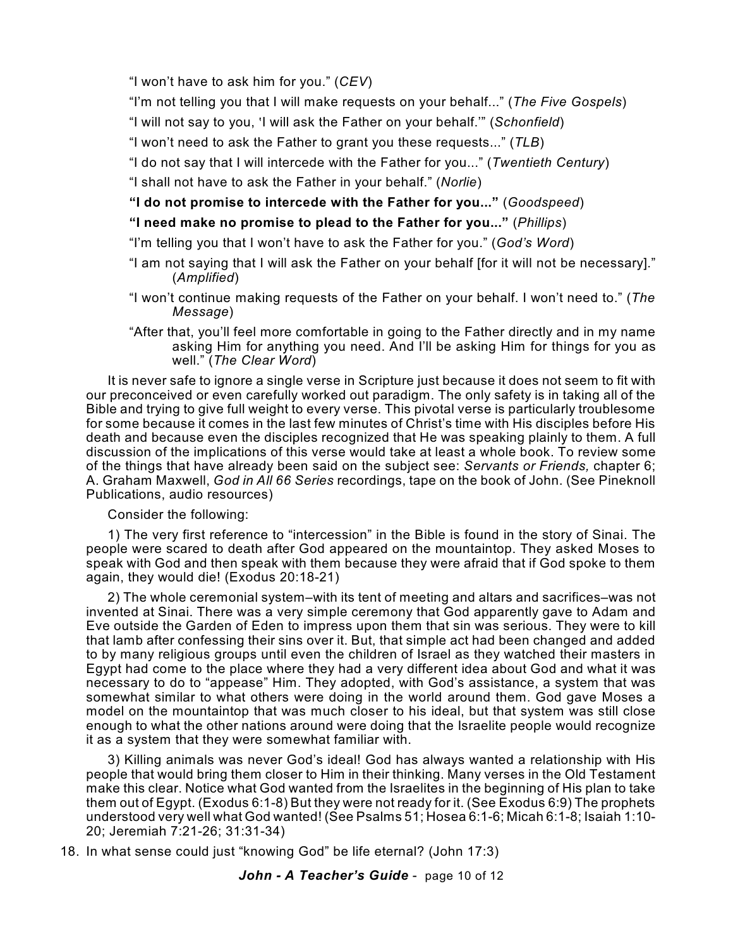"I won't have to ask him for you." (*CEV*)

"I'm not telling you that I will make requests on your behalf..." (*The Five Gospels*)

"I will not say to you, <I will ask the Father on your behalf.'" (*Schonfield*)

"I won't need to ask the Father to grant you these requests..." (*TLB*)

"I do not say that I will intercede with the Father for you..." (*Twentieth Century*)

"I shall not have to ask the Father in your behalf." (*Norlie*)

## **"I do not promise to intercede with the Father for you..."** (*Goodspeed*)

# **"I need make no promise to plead to the Father for you..."** (*Phillips*)

"I'm telling you that I won't have to ask the Father for you." (*God's Word*)

- "I am not saying that I will ask the Father on your behalf [for it will not be necessary]." (*Amplified*)
- "I won't continue making requests of the Father on your behalf. I won't need to." (*The Message*)
- "After that, you'll feel more comfortable in going to the Father directly and in my name asking Him for anything you need. And I'll be asking Him for things for you as well." (*The Clear Word*)

It is never safe to ignore a single verse in Scripture just because it does not seem to fit with our preconceived or even carefully worked out paradigm. The only safety is in taking all of the Bible and trying to give full weight to every verse. This pivotal verse is particularly troublesome for some because it comes in the last few minutes of Christ's time with His disciples before His death and because even the disciples recognized that He was speaking plainly to them. A full discussion of the implications of this verse would take at least a whole book. To review some of the things that have already been said on the subject see: *Servants or Friends,* chapter 6; A. Graham Maxwell, *God in All 66 Series* recordings, tape on the book of John. (See Pineknoll Publications, audio resources)

Consider the following:

1) The very first reference to "intercession" in the Bible is found in the story of Sinai. The people were scared to death after God appeared on the mountaintop. They asked Moses to speak with God and then speak with them because they were afraid that if God spoke to them again, they would die! (Exodus 20:18-21)

2) The whole ceremonial system–with its tent of meeting and altars and sacrifices–was not invented at Sinai. There was a very simple ceremony that God apparently gave to Adam and Eve outside the Garden of Eden to impress upon them that sin was serious. They were to kill that lamb after confessing their sins over it. But, that simple act had been changed and added to by many religious groups until even the children of Israel as they watched their masters in Egypt had come to the place where they had a very different idea about God and what it was necessary to do to "appease" Him. They adopted, with God's assistance, a system that was somewhat similar to what others were doing in the world around them. God gave Moses a model on the mountaintop that was much closer to his ideal, but that system was still close enough to what the other nations around were doing that the Israelite people would recognize it as a system that they were somewhat familiar with.

3) Killing animals was never God's ideal! God has always wanted a relationship with His people that would bring them closer to Him in their thinking. Many verses in the Old Testament make this clear. Notice what God wanted from the Israelites in the beginning of His plan to take them out of Egypt. (Exodus 6:1-8) But they were not ready for it. (See Exodus 6:9) The prophets understood very well what God wanted! (See Psalms 51; Hosea 6:1-6; Micah 6:1-8; Isaiah 1:10- 20; Jeremiah 7:21-26; 31:31-34)

18. In what sense could just "knowing God" be life eternal? (John 17:3)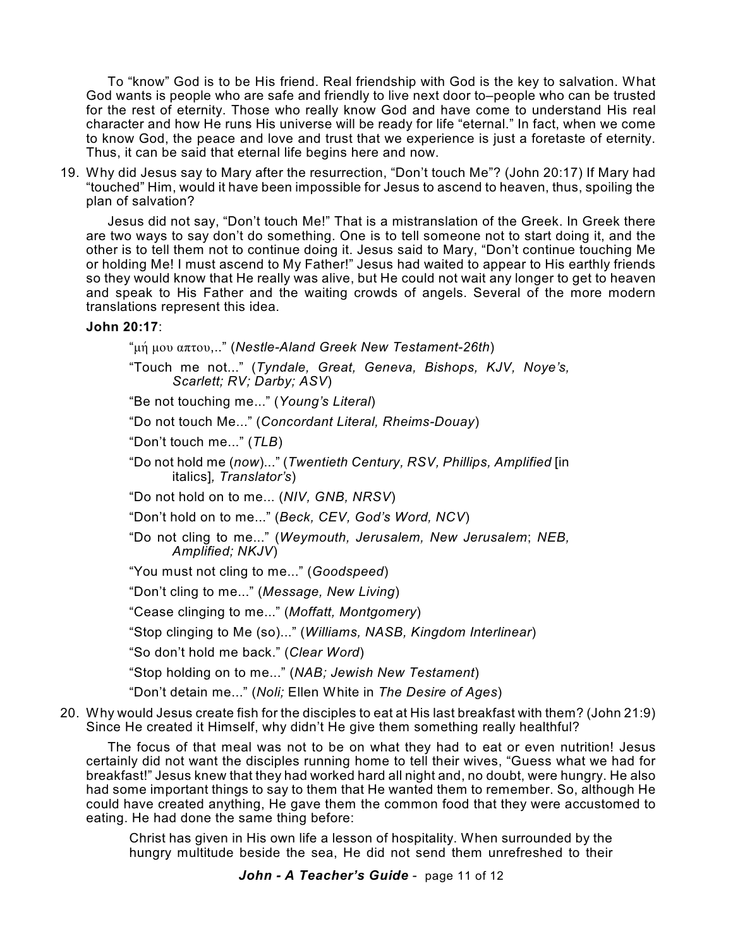To "know" God is to be His friend. Real friendship with God is the key to salvation. What God wants is people who are safe and friendly to live next door to–people who can be trusted for the rest of eternity. Those who really know God and have come to understand His real character and how He runs His universe will be ready for life "eternal." In fact, when we come to know God, the peace and love and trust that we experience is just a foretaste of eternity. Thus, it can be said that eternal life begins here and now.

19. Why did Jesus say to Mary after the resurrection, "Don't touch Me"? (John 20:17) If Mary had "touched" Him, would it have been impossible for Jesus to ascend to heaven, thus, spoiling the plan of salvation?

Jesus did not say, "Don't touch Me!" That is a mistranslation of the Greek. In Greek there are two ways to say don't do something. One is to tell someone not to start doing it, and the other is to tell them not to continue doing it. Jesus said to Mary, "Don't continue touching Me or holding Me! I must ascend to My Father!" Jesus had waited to appear to His earthly friends so they would know that He really was alive, but He could not wait any longer to get to heaven and speak to His Father and the waiting crowds of angels. Several of the more modern translations represent this idea.

### **John 20:17**:

"mhv mou aptou,.." (*Nestle-Aland Greek New Testament-26th*)

"Touch me not..." (*Tyndale, Great, Geneva, Bishops, KJV, Noye's, Scarlett; RV; Darby; ASV*)

"Be not touching me..." (*Young's Literal*)

"Do not touch Me..." (*Concordant Literal, Rheims-Douay*)

"Don't touch me..." (*TLB*)

"Do not hold me (*now*)..." (*Twentieth Century, RSV, Phillips, Amplified* [in italics]*, Translator's*)

"Do not hold on to me... (*NIV, GNB, NRSV*)

"Don't hold on to me..." (*Beck, CEV, God's Word, NCV*)

- "Do not cling to me..." (*Weymouth, Jerusalem, New Jerusalem*; *NEB, Amplified; NKJV*)
- "You must not cling to me..." (*Goodspeed*)

"Don't cling to me..." (*Message, New Living*)

"Cease clinging to me..." (*Moffatt, Montgomery*)

"Stop clinging to Me (so)..." (*Williams, NASB, Kingdom Interlinear*)

"So don't hold me back." (*Clear Word*)

"Stop holding on to me..." (*NAB; Jewish New Testament*)

"Don't detain me..." (*Noli;* Ellen White in *The Desire of Ages*)

20. Why would Jesus create fish for the disciples to eat at His last breakfast with them? (John 21:9) Since He created it Himself, why didn't He give them something really healthful?

The focus of that meal was not to be on what they had to eat or even nutrition! Jesus certainly did not want the disciples running home to tell their wives, "Guess what we had for breakfast!" Jesus knew that they had worked hard all night and, no doubt, were hungry. He also had some important things to say to them that He wanted them to remember. So, although He could have created anything, He gave them the common food that they were accustomed to eating. He had done the same thing before:

Christ has given in His own life a lesson of hospitality. When surrounded by the hungry multitude beside the sea, He did not send them unrefreshed to their